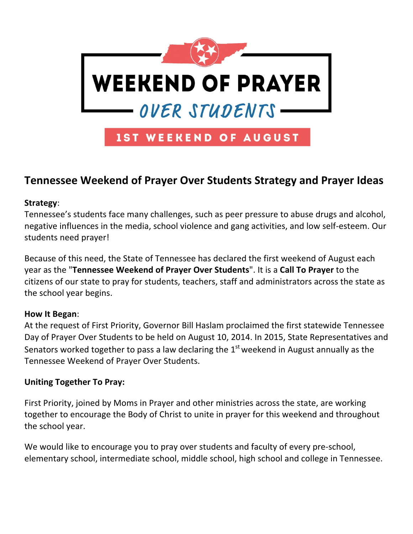

# **Tennessee Weekend of Prayer Over Students Strategy and Prayer Ideas**

### **Strategy**:

Tennessee's students face many challenges, such as peer pressure to abuse drugs and alcohol, negative influences in the media, school violence and gang activities, and low self-esteem. Our students need prayer!

Because of this need, the State of Tennessee has declared the first weekend of August each year as the "**Tennessee Weekend of Prayer Over Students**". It is a **Call To Prayer** to the citizens of our state to pray for students, teachers, staff and administrators across the state as the school year begins.

### **How It Began**:

At the request of First Priority, Governor Bill Haslam proclaimed the first statewide Tennessee Day of Prayer Over Students to be held on August 10, 2014. In 2015, State Representatives and Senators worked together to pass a law declaring the  $1<sup>st</sup>$  weekend in August annually as the Tennessee Weekend of Prayer Over Students.

### **Uniting Together To Pray:**

First Priority, joined by Moms in Prayer and other ministries across the state, are working together to encourage the Body of Christ to unite in prayer for this weekend and throughout the school year.

We would like to encourage you to pray over students and faculty of every pre-school, elementary school, intermediate school, middle school, high school and college in Tennessee.